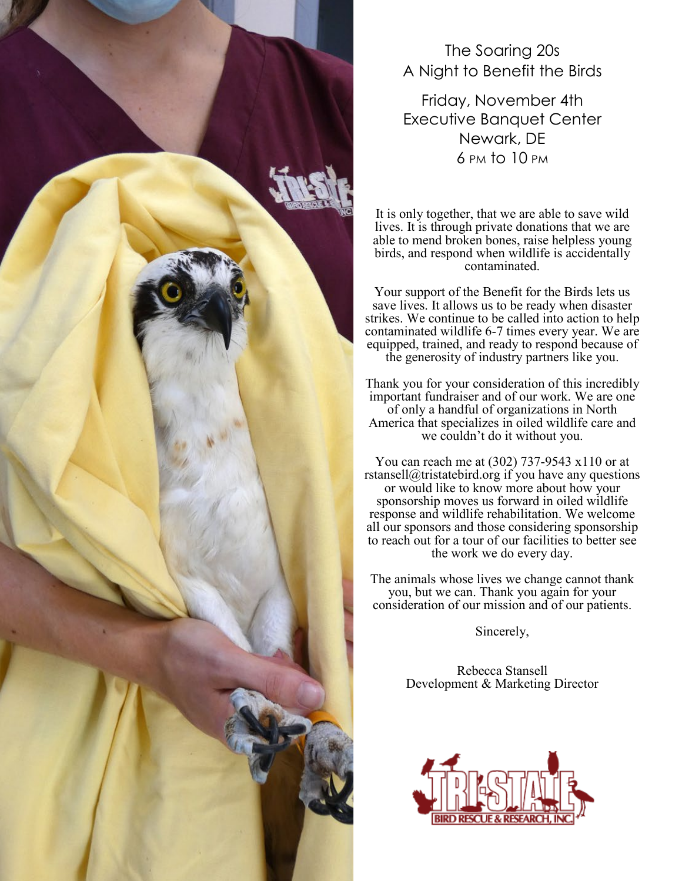

### The Soaring 20s A Night to Benefit the Birds

Friday, November 4th Executive Banquet Center Newark, DE 6 PM to 10 PM

It is only together, that we are able to save wild lives. It is through private donations that we are able to mend broken bones, raise helpless young birds, and respond when wildlife is accidentally contaminated.

Your support of the Benefit for the Birds lets us save lives. It allows us to be ready when disaster strikes. We continue to be called into action to help contaminated wildlife 6-7 times every year. We are equipped, trained, and ready to respond because of the generosity of industry partners like you.

Thank you for your consideration of this incredibly important fundraiser and of our work. We are one of only a handful of organizations in North America that specializes in oiled wildlife care and we couldn't do it without you.

You can reach me at (302) 737-9543 x110 or at rstansell@tristatebird.org if you have any questions or would like to know more about how your sponsorship moves us forward in oiled wildlife response and wildlife rehabilitation. We welcome all our sponsors and those considering sponsorship to reach out for a tour of our facilities to better see the work we do every day.

The animals whose lives we change cannot thank you, but we can. Thank you again for your consideration of our mission and of our patients.

Sincerely,

Rebecca Stansell Development & Marketing Director

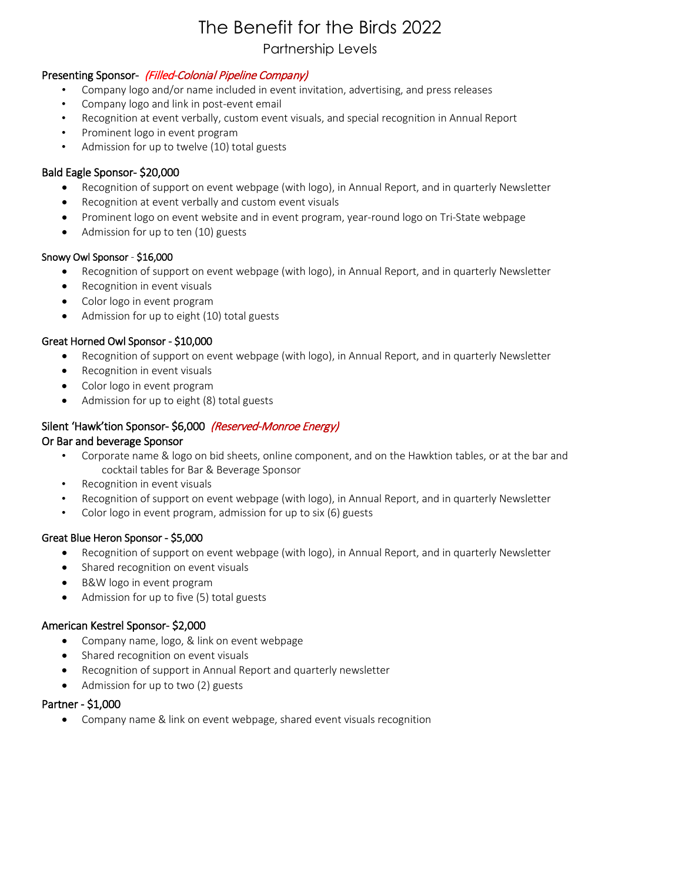## The Benefit for the Birds 2022

#### Partnership Levels

#### Presenting Sponsor- (Filled-Colonial Pipeline Company)

- Company logo and/or name included in event invitation, advertising, and press releases
- Company logo and link in post-event email
- Recognition at event verbally, custom event visuals, and special recognition in Annual Report
- Prominent logo in event program
- Admission for up to twelve (10) total guests

#### Bald Eagle Sponsor- \$20,000

- Recognition of support on event webpage (with logo), in Annual Report, and in quarterly Newsletter
- Recognition at event verbally and custom event visuals
- Prominent logo on event website and in event program, year-round logo on Tri-State webpage
- Admission for up to ten (10) guests

#### Snowy Owl Sponsor - \$16,000

- Recognition of support on event webpage (with logo), in Annual Report, and in quarterly Newsletter
- Recognition in event visuals
- Color logo in event program
- Admission for up to eight (10) total guests

#### Great Horned Owl Sponsor - \$10,000

- Recognition of support on event webpage (with logo), in Annual Report, and in quarterly Newsletter
- Recognition in event visuals
- Color logo in event program
- Admission for up to eight (8) total guests

#### Silent 'Hawk'tion Sponsor- \$6,000 (Reserved-Monroe Energy)

#### Or Bar and beverage Sponsor

- Corporate name & logo on bid sheets, online component, and on the Hawktion tables, or at the bar and cocktail tables for Bar & Beverage Sponsor
- Recognition in event visuals
- Recognition of support on event webpage (with logo), in Annual Report, and in quarterly Newsletter
- Color logo in event program, admission for up to six (6) guests

#### Great Blue Heron Sponsor - \$5,000

- Recognition of support on event webpage (with logo), in Annual Report, and in quarterly Newsletter
- Shared recognition on event visuals
- B&W logo in event program
- Admission for up to five (5) total guests

#### American Kestrel Sponsor- \$2,000

- Company name, logo, & link on event webpage
- Shared recognition on event visuals
- Recognition of support in Annual Report and quarterly newsletter
- Admission for up to two (2) guests

#### Partner - \$1,000

• Company name & link on event webpage, shared event visuals recognition